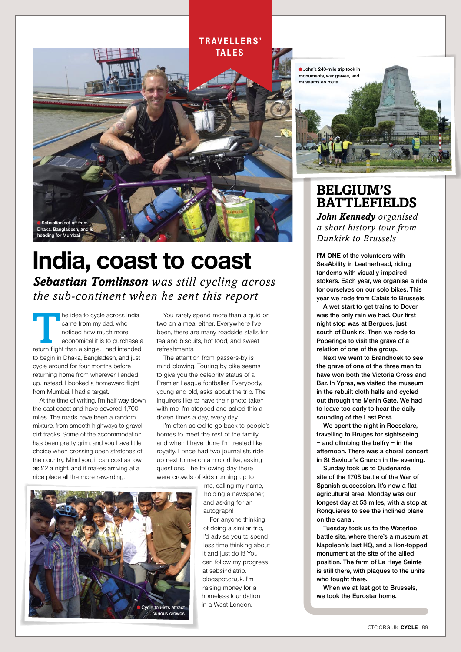#### **t r av e l l e r s ' tales**



## **India, coast to coast** *Sebastian Tomlinson was still cycling across the sub-continent when he sent this report*

The idea to cycle across India<br>
came from my dad, who<br>
noticed how much more<br>
economical it is to purchase a<br>
return flight than a single. I had intended came from my dad, who noticed how much more economical it is to purchase a to begin in Dhaka, Bangladesh, and just cycle around for four months before returning home from wherever I ended up. Instead, I booked a homeward flight from Mumbai. I had a target.

At the time of writing, I'm half way down the east coast and have covered 1,700 miles. The roads have been a random mixture, from smooth highways to gravel dirt tracks. Some of the accommodation has been pretty grim, and you have little choice when crossing open stretches of the country. Mind you, it can cost as low as £2 a night, and it makes arriving at a nice place all the more rewarding.

You rarely spend more than a quid or two on a meal either. Everywhere I've been, there are many roadside stalls for tea and biscuits, hot food, and sweet refreshments.

The attention from passers-by is mind blowing. Touring by bike seems to give you the celebrity status of a Premier League footballer. Everybody, young and old, asks about the trip. The inquirers like to have their photo taken with me. I'm stopped and asked this a dozen times a day, every day.

I'm often asked to go back to people's homes to meet the rest of the family, and when I have done I'm treated like royalty. I once had two journalists ride up next to me on a motorbike, asking questions. The following day there were crowds of kids running up to

> me, calling my name, holding a newspaper, and asking for an autograph!

For anyone thinking of doing a similar trip, I'd advise you to spend less time thinking about it and just do it! You can follow my progress at sebsindiatrip. blogspot.co.uk. I'm raising money for a homeless foundation in a West London.



### **Belgium's BATTLEFIELDS**

*John Kennedy organised a short history tour from Dunkirk to Brussels*

**I'm one of the volunteers with SeaAbility in Leatherhead, riding tandems with visually-impaired stokers. Each year, we organise a ride for ourselves on our solo bikes. This year we rode from Calais to Brussels.** 

**A wet start to get trains to Dover was the only rain we had. Our first night stop was at Bergues, just south of Dunkirk. Then we rode to Poperinge to visit the grave of a relation of one of the group.**

**Next we went to Brandhoek to see the grave of one of the three men to have won both the Victoria Cross and Bar. In Ypres, we visited the museum in the rebuilt cloth halls and cycled out through the Menin Gate. We had to leave too early to hear the daily sounding of the Last Post.** 

**We spent the night in Roeselare, travelling to Bruges for sightseeing – and climbing the belfry – in the afternoon. There was a choral concert in St Saviour's Church in the evening.**

**Sunday took us to Oudenarde, site of the 1708 battle of the War of Spanish succession. It's now a flat agricultural area. Monday was our longest day at 53 miles, with a stop at Ronquieres to see the inclined plane on the canal.** 

**Tuesday took us to the Waterloo battle site, where there's a museum at Napoleon's last HQ, and a lion-topped monument at the site of the allied position. The farm of La Haye Sainte is still there, with plaques to the units who fought there.**

**When we at last got to Brussels, we took the Eurostar home.** 



CTC.ORG.UK **cycle** 89